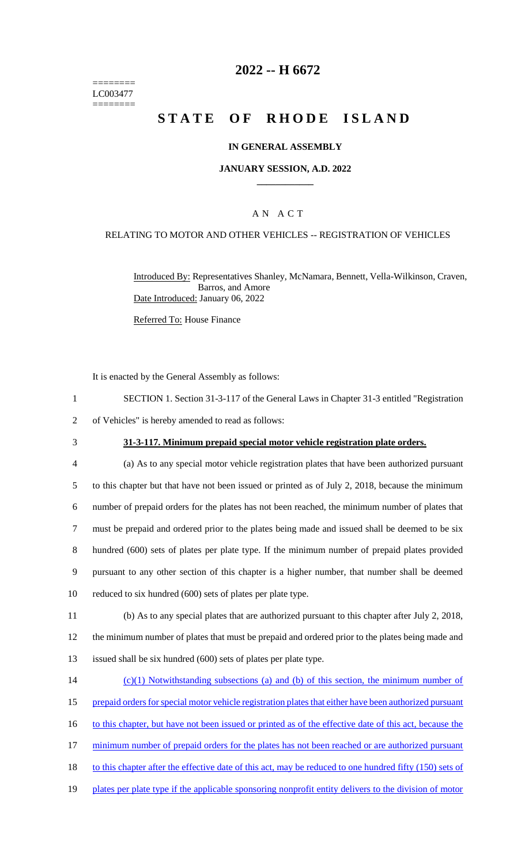======== LC003477 ========

## **2022 -- H 6672**

# **STATE OF RHODE ISLAND**

#### **IN GENERAL ASSEMBLY**

#### **JANUARY SESSION, A.D. 2022 \_\_\_\_\_\_\_\_\_\_\_\_**

### A N A C T

#### RELATING TO MOTOR AND OTHER VEHICLES -- REGISTRATION OF VEHICLES

Introduced By: Representatives Shanley, McNamara, Bennett, Vella-Wilkinson, Craven, Barros, and Amore Date Introduced: January 06, 2022

Referred To: House Finance

It is enacted by the General Assembly as follows:

- 1 SECTION 1. Section 31-3-117 of the General Laws in Chapter 31-3 entitled "Registration
- 2 of Vehicles" is hereby amended to read as follows:
- 

### 3 **31-3-117. Minimum prepaid special motor vehicle registration plate orders.**

- 4 (a) As to any special motor vehicle registration plates that have been authorized pursuant 5 to this chapter but that have not been issued or printed as of July 2, 2018, because the minimum 6 number of prepaid orders for the plates has not been reached, the minimum number of plates that 7 must be prepaid and ordered prior to the plates being made and issued shall be deemed to be six 8 hundred (600) sets of plates per plate type. If the minimum number of prepaid plates provided 9 pursuant to any other section of this chapter is a higher number, that number shall be deemed 10 reduced to six hundred (600) sets of plates per plate type.
- 11 (b) As to any special plates that are authorized pursuant to this chapter after July 2, 2018, 12 the minimum number of plates that must be prepaid and ordered prior to the plates being made and 13 issued shall be six hundred (600) sets of plates per plate type.
- 14 (c)(1) Notwithstanding subsections (a) and (b) of this section, the minimum number of 15 prepaid orders for special motor vehicle registration plates that either have been authorized pursuant 16 to this chapter, but have not been issued or printed as of the effective date of this act, because the 17 minimum number of prepaid orders for the plates has not been reached or are authorized pursuant 18 to this chapter after the effective date of this act, may be reduced to one hundred fifty (150) sets of 19 plates per plate type if the applicable sponsoring nonprofit entity delivers to the division of motor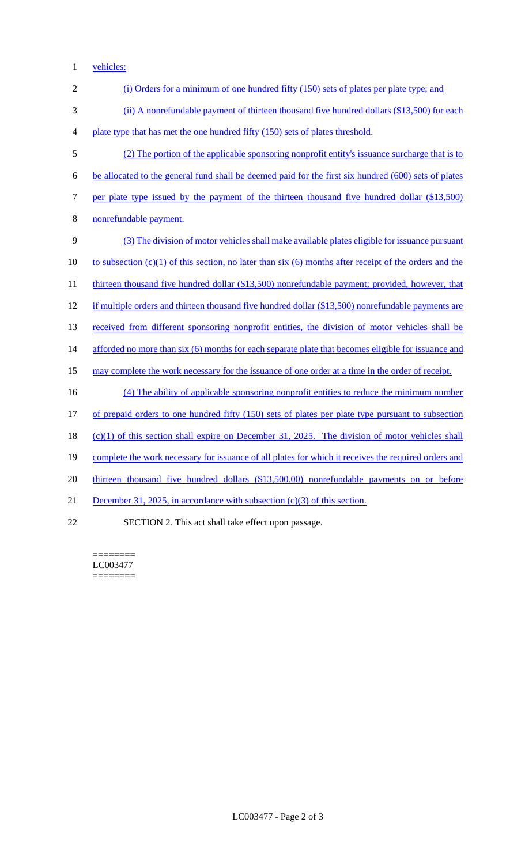1 vehicles:

| $\mathbf{2}$   | (i) Orders for a minimum of one hundred fifty (150) sets of plates per plate type; and                   |
|----------------|----------------------------------------------------------------------------------------------------------|
| 3              | (ii) A nonrefundable payment of thirteen thousand five hundred dollars (\$13,500) for each               |
| $\overline{4}$ | plate type that has met the one hundred fifty (150) sets of plates threshold.                            |
| 5              | (2) The portion of the applicable sponsoring nonprofit entity's issuance surcharge that is to            |
| 6              | be allocated to the general fund shall be deemed paid for the first six hundred (600) sets of plates     |
| 7              | per plate type issued by the payment of the thirteen thousand five hundred dollar (\$13,500)             |
| 8              | nonrefundable payment.                                                                                   |
| 9              | (3) The division of motor vehicles shall make available plates eligible for issuance pursuant            |
| 10             | to subsection $(c)(1)$ of this section, no later than six (6) months after receipt of the orders and the |
| 11             | thirteen thousand five hundred dollar (\$13,500) nonrefundable payment; provided, however, that          |
| 12             | if multiple orders and thirteen thousand five hundred dollar (\$13,500) nonrefundable payments are       |
| 13             | received from different sponsoring nonprofit entities, the division of motor vehicles shall be           |
| 14             | afforded no more than six (6) months for each separate plate that becomes eligible for issuance and      |
| 15             | may complete the work necessary for the issuance of one order at a time in the order of receipt.         |
| 16             | (4) The ability of applicable sponsoring nonprofit entities to reduce the minimum number                 |
| 17             | of prepaid orders to one hundred fifty (150) sets of plates per plate type pursuant to subsection        |
| 18             | $(c)(1)$ of this section shall expire on December 31, 2025. The division of motor vehicles shall         |
| 19             | complete the work necessary for issuance of all plates for which it receives the required orders and     |
| 20             | thirteen thousand five hundred dollars (\$13,500.00) nonrefundable payments on or before                 |
| 21             | December 31, 2025, in accordance with subsection $(c)(3)$ of this section.                               |
| 22             | SECTION 2. This act shall take effect upon passage.                                                      |

======== LC003477  $=$